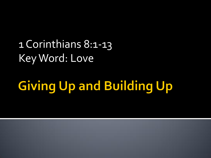1 Corinthians 8:1-13 Key Word: Love

# **Giving Up and Building Up**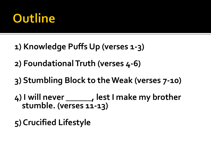# Outline

- **1) Knowledge Puffs Up (verses 1-3)**
- **2) Foundational Truth (verses 4-6)**
- **3) Stumbling Block to the Weak (verses 7-10)**
- **4) I will never \_\_\_\_\_\_, lest I make my brother stumble. (verses 11-13)**
- **5) Crucified Lifestyle**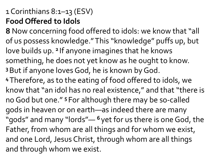#### 1 Corinthians 8:1–13 (ESV) **Food Offered to Idols**

**8** Now concerning food offered to idols: we know that "all of us possess knowledge." This "knowledge" puffs up, but love builds up. <sup>2</sup> If anyone imagines that he knows something, he does not yet know as he ought to know. **<sup>3</sup>**But if anyone loves God, he is known by God. **<sup>4</sup>**Therefore, as to the eating of food offered to idols, we know that "an idol has no real existence," and that "there is no God but one." **<sup>5</sup>** For although there may be so-called gods in heaven or on earth—as indeed there are many "gods" and many "lords"— **<sup>6</sup>** yet for us there is one God, the Father, from whom are all things and for whom we exist, and one Lord, Jesus Christ, through whom are all things and through whom we exist.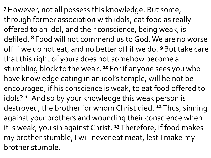**<sup>7</sup>**However, not all possess this knowledge. But some, through former association with idols, eat food as really offered to an idol, and their conscience, being weak, is defiled. **<sup>8</sup>** Food will not commend us to God. We are no worse off if we do not eat, and no better off if we do. **<sup>9</sup>**But take care that this right of yours does not somehow become a stumbling block to the weak. **<sup>10</sup>** For if anyone sees you who have knowledge eating in an idol's temple, will he not be encouraged, if his conscience is weak, to eat food offered to idols? **<sup>11</sup>**And so by your knowledge this weak person is destroyed, the brother for whom Christ died. **<sup>12</sup>** Thus, sinning against your brothers and wounding their conscience when it is weak, you sin against Christ. **<sup>13</sup>**Therefore, if food makes my brother stumble, I will never eat meat, lest I make my brother stumble.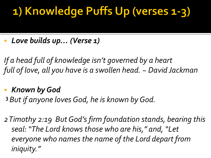### 1) Knowledge Puffs Up (verses 1-3)

*Love builds up… (Verse 1)*

*If a head full of knowledge isn't governed by a heart full of love, all you have is a swollen head. ~ David Jackman*

- *Known by God*
- **<sup>3</sup>***But if anyone loves God, he is known by God.*

*2 Timothy 2:19 But God's firm foundation stands, bearing this seal: "The Lord knows those who are his," and, "Let everyone who names the name of the Lord depart from iniquity."*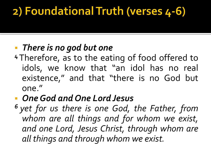### 2) Foundational Truth (verses 4-6)

### *There is no god but one*

**<sup>4</sup>**Therefore, as to the eating of food offered to idols, we know that "an idol has no real existence," and that "there is no God but one."

### *OneGod and One Lord Jesus*

*<sup>6</sup> yet for us there is one God, the Father, from whom are all things and for whom we exist, and one Lord, Jesus Christ, through whom are all things and through whom we exist.*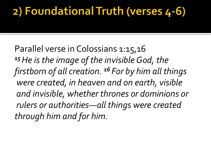### 2) Foundational Truth (verses 4-6)

Parallel verse in Colossians 1:15,16 *<sup>15</sup>He is the image of the invisible God, the firstborn of all creation. <sup>16</sup> For by him all things were created, in heaven and on earth, visible and invisible, whether thrones or dominions or rulers or authorities—all things were created through him and for him.*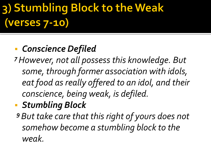# 3) Stumbling Block to the Weak (verses 7-10)

### *Conscience Defiled*

*<sup>7</sup>However, not all possess this knowledge. But some, through former association with idols, eat food as really offered to an idol, and their conscience, being weak, is defiled.*

### *Stumbling Block*

*<sup>9</sup>But take care that this right of yours does not somehow become a stumbling block to the weak.*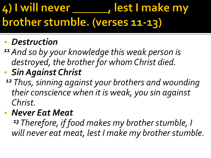#### 4) I will never , lest I make my brother stumble. (verses 11-13)

### *Destruction*

- *<sup>11</sup>And so by your knowledge this weak person is destroyed, the brother for whom Christ died.*
- *Sin Against Christ*
	- *<sup>12</sup> Thus, sinning against your brothers and wounding their conscience when it is weak, you sin against Christ.*

### *Never Eat Meat*

*<sup>13</sup> Therefore, if food makes my brother stumble, I will never eat meat, lest I make my brother stumble.*